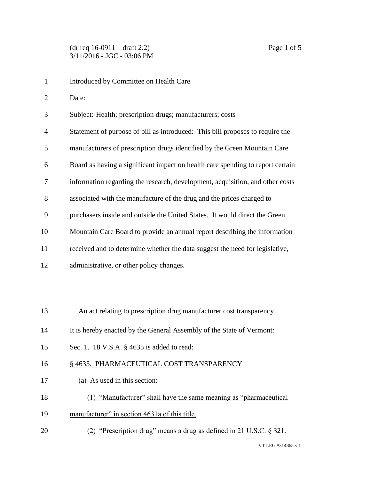Introduced by Committee on Health Care Date: Subject: Health; prescription drugs; manufacturers; costs Statement of purpose of bill as introduced: This bill proposes to require the manufacturers of prescription drugs identified by the Green Mountain Care Board as having a significant impact on health care spending to report certain information regarding the research, development, acquisition, and other costs associated with the manufacture of the drug and the prices charged to purchasers inside and outside the United States. It would direct the Green Mountain Care Board to provide an annual report describing the information received and to determine whether the data suggest the need for legislative, administrative, or other policy changes. An act relating to prescription drug manufacturer cost transparency It is hereby enacted by the General Assembly of the State of Vermont: Sec. 1. 18 V.S.A. § 4635 is added to read: 16 § 4635. PHARMACEUTICAL COST TRANSPARENCY (a) As used in this section: (1) "Manufacturer" shall have the same meaning as "pharmaceutical manufacturer" in section 4631a of this title. (2) "Prescription drug" means a drug as defined in 21 U.S.C. § 321.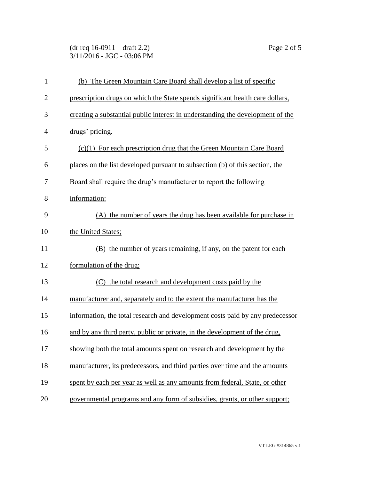(dr req 16-0911 – draft 2.2) Page 2 of 5 3/11/2016 - JGC - 03:06 PM

| $\mathbf{1}$   | (b) The Green Mountain Care Board shall develop a list of specific             |
|----------------|--------------------------------------------------------------------------------|
| $\overline{2}$ | prescription drugs on which the State spends significant health care dollars,  |
| 3              | creating a substantial public interest in understanding the development of the |
| $\overline{4}$ | drugs' pricing.                                                                |
| 5              | $(c)(1)$ For each prescription drug that the Green Mountain Care Board         |
| 6              | places on the list developed pursuant to subsection (b) of this section, the   |
| 7              | Board shall require the drug's manufacturer to report the following            |
| 8              | information:                                                                   |
| 9              | (A) the number of years the drug has been available for purchase in            |
| 10             | the United States;                                                             |
| 11             | (B) the number of years remaining, if any, on the patent for each              |
| 12             | formulation of the drug;                                                       |
| 13             | the total research and development costs paid by the                           |
| 14             | manufacturer and, separately and to the extent the manufacturer has the        |
| 15             | information, the total research and development costs paid by any predecessor  |
| 16             | and by any third party, public or private, in the development of the drug,     |
| 17             | showing both the total amounts spent on research and development by the        |
| 18             | manufacturer, its predecessors, and third parties over time and the amounts    |
| 19             | spent by each per year as well as any amounts from federal, State, or other    |
| 20             | governmental programs and any form of subsidies, grants, or other support;     |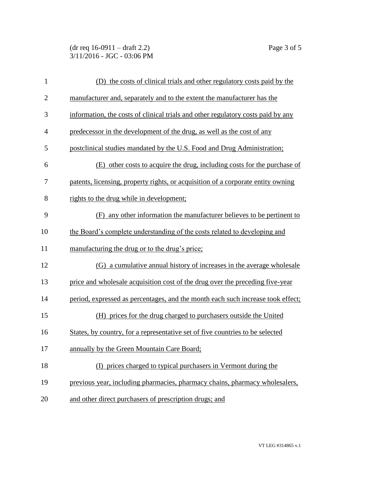(dr req 16-0911 – draft 2.2) Page 3 of 5 3/11/2016 - JGC - 03:06 PM

| $\mathbf{1}$   | (D) the costs of clinical trials and other regulatory costs paid by the          |
|----------------|----------------------------------------------------------------------------------|
| $\overline{2}$ | manufacturer and, separately and to the extent the manufacturer has the          |
| 3              | information, the costs of clinical trials and other regulatory costs paid by any |
| $\overline{4}$ | predecessor in the development of the drug, as well as the cost of any           |
| 5              | postclinical studies mandated by the U.S. Food and Drug Administration;          |
| 6              | (E) other costs to acquire the drug, including costs for the purchase of         |
| 7              | patents, licensing, property rights, or acquisition of a corporate entity owning |
| 8              | rights to the drug while in development;                                         |
| 9              | (F) any other information the manufacturer believes to be pertinent to           |
| 10             | the Board's complete understanding of the costs related to developing and        |
| 11             | manufacturing the drug or to the drug's price;                                   |
| 12             | (G) a cumulative annual history of increases in the average wholesale            |
| 13             | price and wholesale acquisition cost of the drug over the preceding five-year    |
| 14             | period, expressed as percentages, and the month each such increase took effect;  |
| 15             | (H) prices for the drug charged to purchasers outside the United                 |
| 16             | States, by country, for a representative set of five countries to be selected    |
| 17             | annually by the Green Mountain Care Board;                                       |
| 18             | (I) prices charged to typical purchasers in Vermont during the                   |
| 19             | previous year, including pharmacies, pharmacy chains, pharmacy wholesalers,      |
| 20             | and other direct purchasers of prescription drugs; and                           |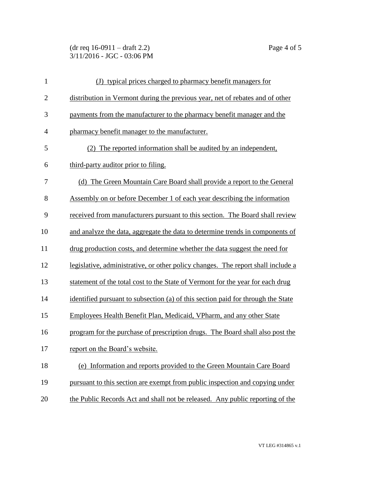## (dr req 16-0911 – draft 2.2) Page 4 of 5 3/11/2016 - JGC - 03:06 PM

| $\mathbf{1}$   | (J) typical prices charged to pharmacy benefit managers for                      |
|----------------|----------------------------------------------------------------------------------|
| $\overline{2}$ | distribution in Vermont during the previous year, net of rebates and of other    |
| 3              | payments from the manufacturer to the pharmacy benefit manager and the           |
| $\overline{4}$ | pharmacy benefit manager to the manufacturer.                                    |
| 5              | (2) The reported information shall be audited by an independent,                 |
| 6              | third-party auditor prior to filing.                                             |
| 7              | (d) The Green Mountain Care Board shall provide a report to the General          |
| 8              | Assembly on or before December 1 of each year describing the information         |
| 9              | received from manufacturers pursuant to this section. The Board shall review     |
| 10             | and analyze the data, aggregate the data to determine trends in components of    |
| 11             | drug production costs, and determine whether the data suggest the need for       |
| 12             | legislative, administrative, or other policy changes. The report shall include a |
| 13             | statement of the total cost to the State of Vermont for the year for each drug   |
| 14             | identified pursuant to subsection (a) of this section paid for through the State |
| 15             | Employees Health Benefit Plan, Medicaid, VPharm, and any other State             |
| 16             | program for the purchase of prescription drugs. The Board shall also post the    |
| 17             | report on the Board's website.                                                   |
| 18             | (e) Information and reports provided to the Green Mountain Care Board            |
| 19             | pursuant to this section are exempt from public inspection and copying under     |
| 20             | the Public Records Act and shall not be released. Any public reporting of the    |